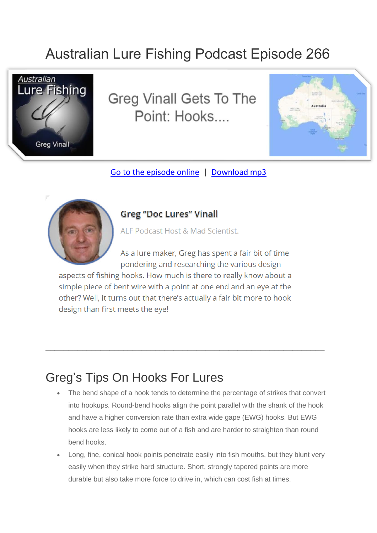## Australian Lure Fishing Podcast Episode 266



**Greg Vinall Gets To The** Point: Hooks



[Go to the episode online](https://doclures.com/greg-vinall-hooks/) | [Download mp3](https://traffic.libsyn.com/secure/doclures/greg-vinall-point-fishing-hooks.mp3)



## **Greg "Doc Lures" Vinall**

ALF Podcast Host & Mad Scientist.

As a lure maker, Greg has spent a fair bit of time pondering and researching the various design

aspects of fishing hooks. How much is there to really know about a simple piece of bent wire with a point at one end and an eye at the other? Well, it turns out that there's actually a fair bit more to hook design than first meets the eve!

\_\_\_\_\_\_\_\_\_\_\_\_\_\_\_\_\_\_\_\_\_\_\_\_\_\_\_\_\_\_\_\_\_\_\_\_\_\_\_\_\_\_\_\_\_\_\_\_\_\_\_\_\_\_\_\_\_\_\_\_\_

## Greg's Tips On Hooks For Lures

- The bend shape of a hook tends to determine the percentage of strikes that convert into hookups. Round-bend hooks align the point parallel with the shank of the hook and have a higher conversion rate than extra wide gape (EWG) hooks. But EWG hooks are less likely to come out of a fish and are harder to straighten than round bend hooks.
- Long, fine, conical hook points penetrate easily into fish mouths, but they blunt very easily when they strike hard structure. Short, strongly tapered points are more durable but also take more force to drive in, which can cost fish at times.